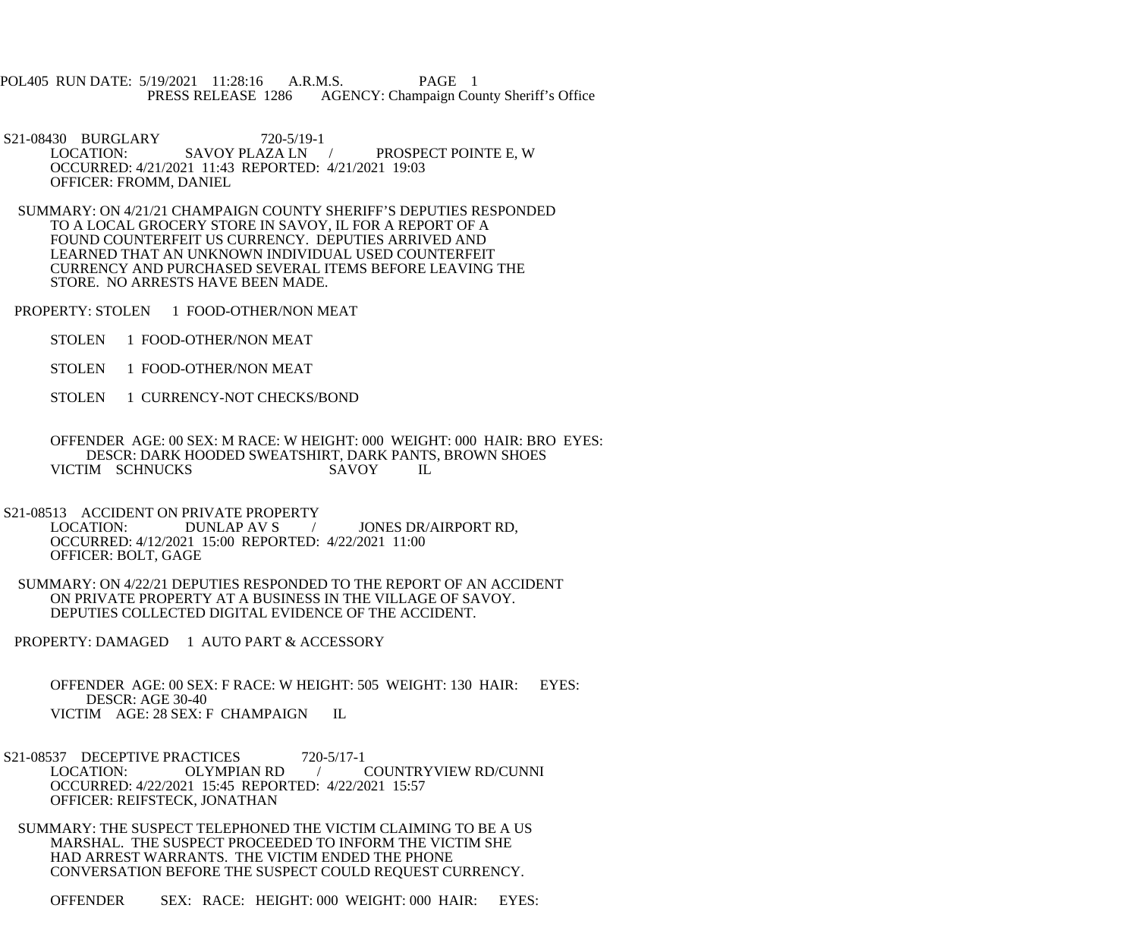POL405 RUN DATE: 5/19/2021 11:28:16 A.R.M.S. PAGE 1<br>PRESS RELEASE 1286 AGENCY: Champaign Cou AGENCY: Champaign County Sheriff's Office

S21-08430 BURGLARY 720-5/19-1<br>LOCATION: SAVOY PLAZA LN PROSPECT POINTE E, W OCCURRED: 4/21/2021 11:43 REPORTED: 4/21/2021 19:03 OFFICER: FROMM, DANIEL

 SUMMARY: ON 4/21/21 CHAMPAIGN COUNTY SHERIFF'S DEPUTIES RESPONDED TO A LOCAL GROCERY STORE IN SAVOY, IL FOR A REPORT OF A FOUND COUNTERFEIT US CURRENCY. DEPUTIES ARRIVED AND LEARNED THAT AN UNKNOWN INDIVIDUAL USED COUNTERFEIT CURRENCY AND PURCHASED SEVERAL ITEMS BEFORE LEAVING THE STORE. NO ARRESTS HAVE BEEN MADE.

PROPERTY: STOLEN 1 FOOD-OTHER/NON MEAT

- STOLEN 1 FOOD-OTHER/NON MEAT
- STOLEN 1 FOOD-OTHER/NON MEAT
- STOLEN 1 CURRENCY-NOT CHECKS/BOND

 OFFENDER AGE: 00 SEX: M RACE: W HEIGHT: 000 WEIGHT: 000 HAIR: BRO EYES: DESCR: DARK HOODED SWEATSHIRT, DARK PANTS, BROWN SHOES IM SCHNUCKS SAVOY IL VICTIM SCHNUCKS

S21-08513 ACCIDENT ON PRIVATE PROPERTY<br>LOCATION: DUNLAP AV S

/ JONES DR/AIRPORT RD, OCCURRED: 4/12/2021 15:00 REPORTED: 4/22/2021 11:00 OFFICER: BOLT, GAGE

 SUMMARY: ON 4/22/21 DEPUTIES RESPONDED TO THE REPORT OF AN ACCIDENT ON PRIVATE PROPERTY AT A BUSINESS IN THE VILLAGE OF SAVOY. DEPUTIES COLLECTED DIGITAL EVIDENCE OF THE ACCIDENT.

PROPERTY: DAMAGED 1 AUTO PART & ACCESSORY

 OFFENDER AGE: 00 SEX: F RACE: W HEIGHT: 505 WEIGHT: 130 HAIR: EYES: DESCR: AGE 30-40 VICTIM AGE: 28 SEX: F CHAMPAIGN IL

S21-08537 DECEPTIVE PRACTICES 720-5/17-1<br>LOCATION: OLYMPIAN RD / COUNTRYVIEW RD/CUNNI OCCURRED: 4/22/2021 15:45 REPORTED: 4/22/2021 15:57 OFFICER: REIFSTECK, JONATHAN

 SUMMARY: THE SUSPECT TELEPHONED THE VICTIM CLAIMING TO BE A US MARSHAL. THE SUSPECT PROCEEDED TO INFORM THE VICTIM SHE HAD ARREST WARRANTS. THE VICTIM ENDED THE PHONE CONVERSATION BEFORE THE SUSPECT COULD REQUEST CURRENCY.

OFFENDER SEX: RACE: HEIGHT: 000 WEIGHT: 000 HAIR: EYES: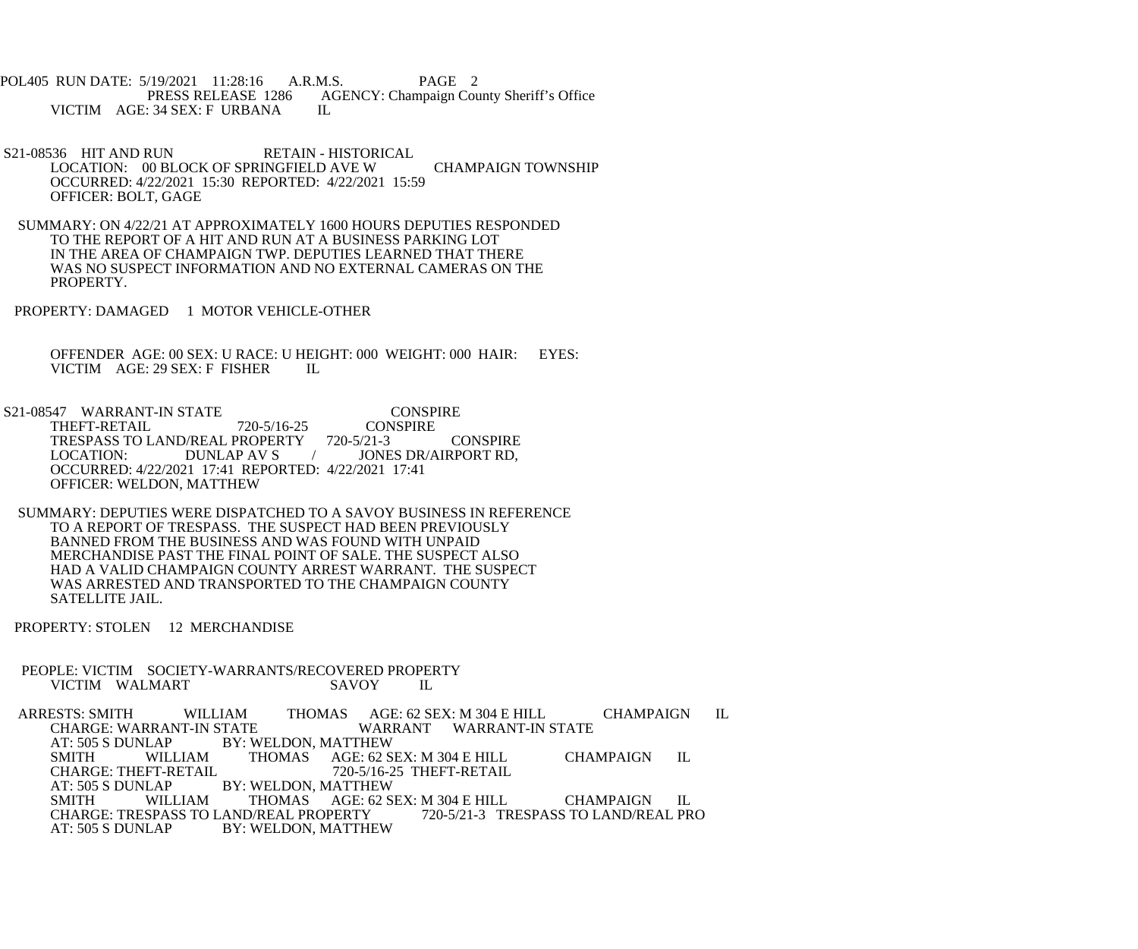POL405 RUN DATE: 5/19/2021 11:28:16 A.R.M.S. PAGE 2<br>PRESS RELEASE 1286 AGENCY: Champaign Cou AGENCY: Champaign County Sheriff's Office IL VICTIM AGE: 34 SEX: F URBANA

S21-08536 HIT AND RUN RETAIN - HISTORICAL LOCATION: 00 BLOCK OF SPRINGFIELD AVE W CHAMPAIGN TOWNSHIP OCCURRED: 4/22/2021 15:30 REPORTED: 4/22/2021 15:59 OFFICER: BOLT, GAGE

 SUMMARY: ON 4/22/21 AT APPROXIMATELY 1600 HOURS DEPUTIES RESPONDED TO THE REPORT OF A HIT AND RUN AT A BUSINESS PARKING LOT IN THE AREA OF CHAMPAIGN TWP. DEPUTIES LEARNED THAT THERE WAS NO SUSPECT INFORMATION AND NO EXTERNAL CAMERAS ON THE PROPERTY.

PROPERTY: DAMAGED 1 MOTOR VEHICLE-OTHER

 OFFENDER AGE: 00 SEX: U RACE: U HEIGHT: 000 WEIGHT: 000 HAIR: EYES: VICTIM AGE: 29 SEX: F FISHER IL

S21-08547 WARRANT-IN STATE CONSPIRE<br>THEFT-RETAIL 720-5/16-25 CONSPIRE THEFT-RETAIL 720-5/16-25 CON<br>TRESPASS TO LAND/REAL PROPERTY 720-5/21-3 TRESPASS TO LAND/REAL PROPERTY 720-5/21-3 CONSPIRE LOCATION: DUNLAP AV S / JONES DR/AIRPORT RD, JONES DR/AIRPORT RD, OCCURRED: 4/22/2021 17:41 REPORTED: 4/22/2021 17:41 OFFICER: WELDON, MATTHEW

 SUMMARY: DEPUTIES WERE DISPATCHED TO A SAVOY BUSINESS IN REFERENCE TO A REPORT OF TRESPASS. THE SUSPECT HAD BEEN PREVIOUSLY BANNED FROM THE BUSINESS AND WAS FOUND WITH UNPAID MERCHANDISE PAST THE FINAL POINT OF SALE. THE SUSPECT ALSO HAD A VALID CHAMPAIGN COUNTY ARREST WARRANT. THE SUSPECT WAS ARRESTED AND TRANSPORTED TO THE CHAMPAIGN COUNTY SATELLITE JAIL.

PROPERTY: STOLEN 12 MERCHANDISE

PEOPLE: VICTIM SOCIETY-WARRANTS/RECOVERED PROPERTY VICTIM WALMART SAVOY IL VICTIM WALMART

ARRESTS: SMITH WILLIAM THOMAS AGE: 62 SEX: M 304 E HILL CHAMPAIGN IL CHARGE: WARRANT-IN STATE WARRANT WARRANT-IN STATE CHARGE: WARRANT-IN STATE WARRANT WARRANT-IN STATE<br>AT: 505 S DUNLAP BY: WELDON. MATTHEW AT: 505 S DUNLAP BY: WELDON, MATTHEW<br>SMITH WILLIAM THOMAS AGE: 62 S SMITH WILLIAM THOMAS AGE: 62 SEX: M 304 E HILL CHAMPAIGN IL<br>CHARGE: THEFT-RETAIL 720-5/16-25 THEFT-RETAIL CHARGE: THEFT-RETAIL 720-5/16-25 THEFT-RETAIL<br>AT: 505 S DUNLAP BY: WELDON, MATTHEW BY: WELDON, MATTHEW SMITH WILLIAM THOMAS AGE: 62 SEX: M 304 E HILL CHAMPAIGN IL CHARGE: TRESPASS TO LAND/REAL PROPERTY 720-5/21-3 TRESPASS TO LAND/REAL PRO CHARGE: TRESPASS TO LAND/REAL PROPERTY<br>AT: 505 S DUNLAP BY: WELDON. MATTHE BY: WELDON, MATTHEW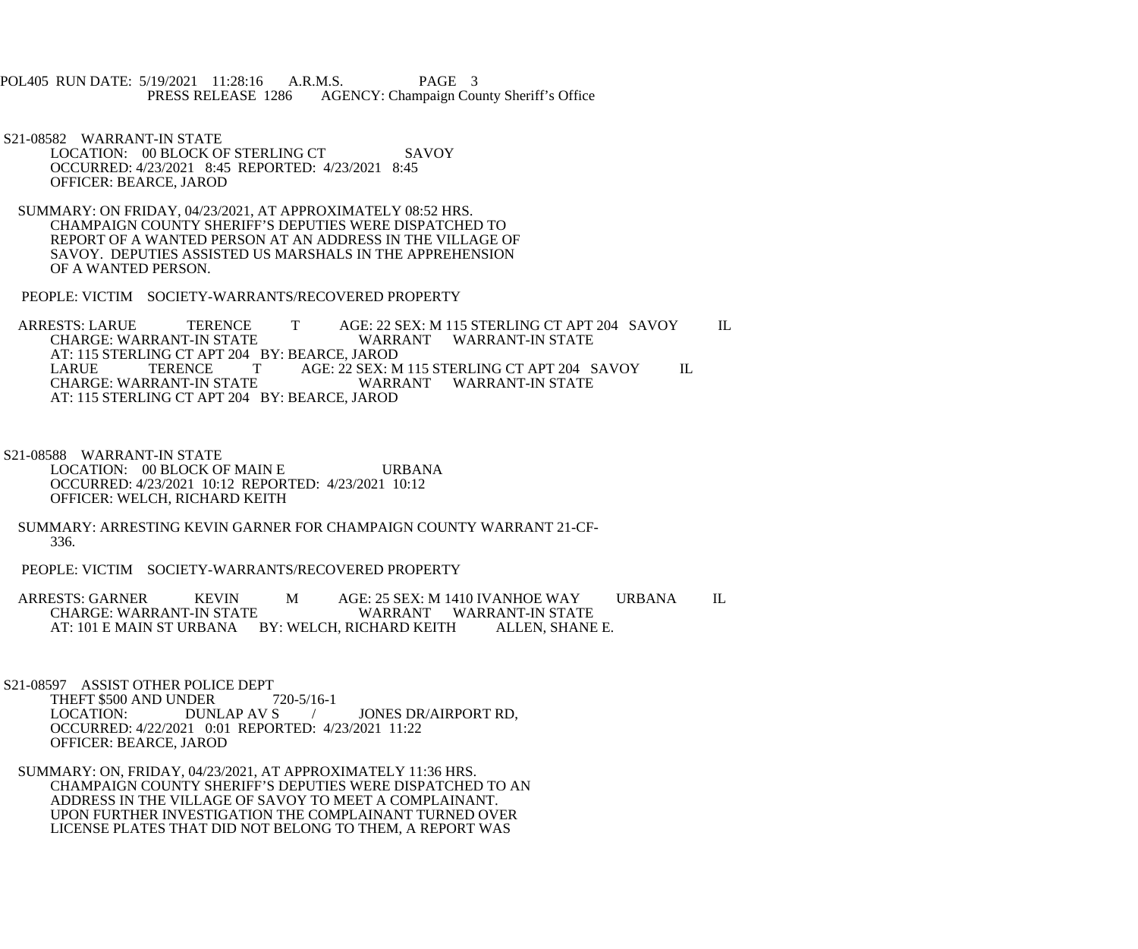POL405 RUN DATE: 5/19/2021 11:28:16 A.R.M.S. PAGE 3<br>PRESS RELEASE 1286 AGENCY: Champaign Cou AGENCY: Champaign County Sheriff's Office

 S21-08582 WARRANT-IN STATE LOCATION: 00 BLOCK OF STERLING CT SAVOY OCCURRED: 4/23/2021 8:45 REPORTED: 4/23/2021 8:45 OFFICER: BEARCE, JAROD

 SUMMARY: ON FRIDAY, 04/23/2021, AT APPROXIMATELY 08:52 HRS. CHAMPAIGN COUNTY SHERIFF'S DEPUTIES WERE DISPATCHED TO REPORT OF A WANTED PERSON AT AN ADDRESS IN THE VILLAGE OF SAVOY. DEPUTIES ASSISTED US MARSHALS IN THE APPREHENSION OF A WANTED PERSON.

PEOPLE: VICTIM SOCIETY-WARRANTS/RECOVERED PROPERTY

ARRESTS: LARUE TERENCE T AGE: 22 SEX: M 115 STERLING CT APT 204 SAVOY IL CHARGE: WARRANT WARRANT WARRANT-IN STATE WARRANT WARRANT-IN STATE AT: 115 STERLING CT APT 204 BY: BEARCE, JAROD<br>LARUE TERENCE TAGE: 22 SEX: M LARUE TERENCE T AGE: 22 SEX: M 115 STERLING CT APT 204 SAVOY IL CHARGE: WARRANT-IN STATE WARRANT WARRANT-IN STATE AT: 115 STERLING CT APT 204 BY: BEARCE, JAROD

 S21-08588 WARRANT-IN STATE LOCATION: 00 BLOCK OF MAIN E URBANA OCCURRED: 4/23/2021 10:12 REPORTED: 4/23/2021 10:12 OFFICER: WELCH, RICHARD KEITH

 SUMMARY: ARRESTING KEVIN GARNER FOR CHAMPAIGN COUNTY WARRANT 21-CF- 336.

PEOPLE: VICTIM SOCIETY-WARRANTS/RECOVERED PROPERTY

ARRESTS: GARNER KEVIN M AGE: 25 SEX: M 1410 IVANHOE WAY URBANA IL CHARGE: WARRANT-IN STATE WARRANT WARRANT-IN STATE<br>ICHARD KEITH ALLEN, SHANE E. AT: 101 E MAIN ST URBANA BY: WELCH, RICHARD KEITH

S21-08597 ASSIST OTHER POLICE DEPT

THEFT \$500 AND UNDER 720-5/16-1<br>LOCATION: DUNLAP AV S / JONES DR/AIRPORT RD. OCCURRED: 4/22/2021 0:01 REPORTED: 4/23/2021 11:22 OFFICER: BEARCE, JAROD

 SUMMARY: ON, FRIDAY, 04/23/2021, AT APPROXIMATELY 11:36 HRS. CHAMPAIGN COUNTY SHERIFF'S DEPUTIES WERE DISPATCHED TO AN ADDRESS IN THE VILLAGE OF SAVOY TO MEET A COMPLAINANT. UPON FURTHER INVESTIGATION THE COMPLAINANT TURNED OVER LICENSE PLATES THAT DID NOT BELONG TO THEM, A REPORT WAS